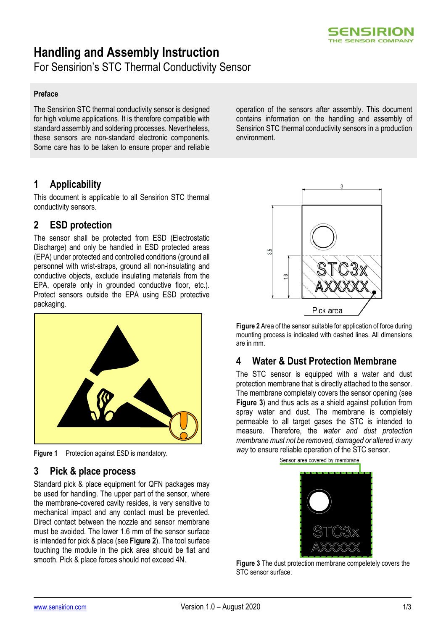

# **Handling and Assembly Instruction**

For Sensirion's STC Thermal Conductivity Sensor

#### **Preface**

The Sensirion STC thermal conductivity sensor is designed for high volume applications. It is therefore compatible with standard assembly and soldering processes. Nevertheless, these sensors are non-standard electronic components. Some care has to be taken to ensure proper and reliable

# **1 Applicability**

This document is applicable to all Sensirion STC thermal conductivity sensors.

# **2 ESD protection**

The sensor shall be protected from ESD (Electrostatic Discharge) and only be handled in ESD protected areas (EPA) under protected and controlled conditions (ground all personnel with wrist-straps, ground all non-insulating and conductive objects, exclude insulating materials from the EPA, operate only in grounded conductive floor, etc.). Protect sensors outside the EPA using ESD protective packaging.



**Figure 1** Protection against ESD is mandatory.

#### **3 Pick & place process**

Standard pick & place equipment for QFN packages may be used for handling. The upper part of the sensor, where the membrane-covered cavity resides, is very sensitive to mechanical impact and any contact must be prevented. Direct contact between the nozzle and sensor membrane must be avoided. The lower 1.6 mm of the sensor surface is intended for pick & place (see **[Figure 2](#page-0-0)**). The tool surface touching the module in the pick area should be flat and smooth. Pick & place forces should not exceed 4N.

operation of the sensors after assembly. This document contains information on the handling and assembly of Sensirion STC thermal conductivity sensors in a production environment.



<span id="page-0-0"></span>**Figure 2** Area of the sensor suitable for application of force during mounting process is indicated with dashed lines. All dimensions are in mm.

# **4 Water & Dust Protection Membrane**

The STC sensor is equipped with a water and dust protection membrane that is directly attached to the sensor. The membrane completely covers the sensor opening (see **[Figure 3](#page-0-1)**) and thus acts as a shield against pollution from spray water and dust. The membrane is completely permeable to all target gases the STC is intended to measure. Therefore, the *water and dust protection membrane must not be removed, damaged or altered in any way* to ensure reliable operation of the STC sensor.

<span id="page-0-1"></span>

**Figure 3** The dust protection membrane compeletely covers the STC sensor surface.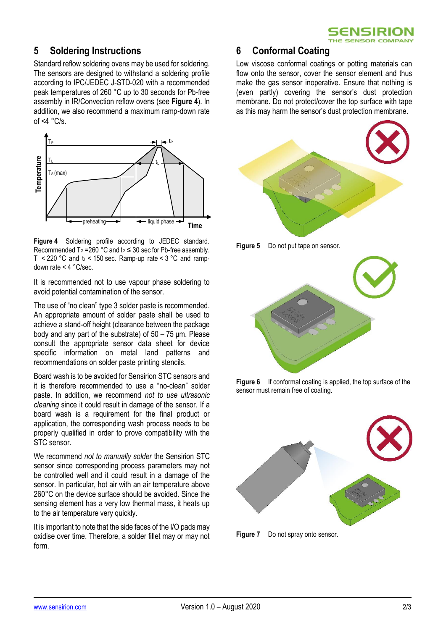

# **5 Soldering Instructions**

Standard reflow soldering ovens may be used for soldering. The sensors are designed to withstand a soldering profile according to IPC/JEDEC J-STD-020 with a recommended peak temperatures of 260 °C up to 30 seconds for Pb-free assembly in IR/Convection reflow ovens (see **[Figure 4](#page-1-0)**). In addition, we also recommend a maximum ramp-down rate of  $\leq 4$  °C/s.



<span id="page-1-0"></span>**Figure 4** Soldering profile according to JEDEC standard. Recommended T<sub>P</sub> =260 °C and t<sub>P</sub>  $\leq$  30 sec for Pb-free assembly. T<sub>L</sub> < 220 °C and  $t_L$  < 150 sec. Ramp-up rate < 3 °C and rampdown rate < 4 °C/sec.

It is recommended not to use vapour phase soldering to avoid potential contamination of the sensor.

The use of "no clean" type 3 solder paste is recommended. An appropriate amount of solder paste shall be used to achieve a stand-off height (clearance between the package body and any part of the substrate) of 50 – 75 μm. Please consult the appropriate sensor data sheet for device specific information on metal land patterns and recommendations on solder paste printing stencils.

Board wash is to be avoided for Sensirion STC sensors and it is therefore recommended to use a "no-clean" solder paste. In addition, we recommend *not to use ultrasonic cleaning* since it could result in damage of the sensor. If a board wash is a requirement for the final product or application, the corresponding wash process needs to be properly qualified in order to prove compatibility with the STC sensor.

We recommend *not to manually solder* the Sensirion STC sensor since corresponding process parameters may not be controlled well and it could result in a damage of the sensor. In particular, hot air with an air temperature above 260°C on the device surface should be avoided. Since the sensing element has a very low thermal mass, it heats up to the air temperature very quickly.

It is important to note that the side faces of the I/O pads may oxidise over time. Therefore, a solder fillet may or may not form.

#### **6 Conformal Coating**

Low viscose conformal coatings or potting materials can flow onto the sensor, cover the sensor element and thus make the gas sensor inoperative. Ensure that nothing is (even partly) covering the sensor's dust protection membrane. Do not protect/cover the top surface with tape as this may harm the sensor's dust protection membrane.







**Figure 6** If conformal coating is applied, the top surface of the sensor must remain free of coating.



**Figure 7** Do not spray onto sensor.